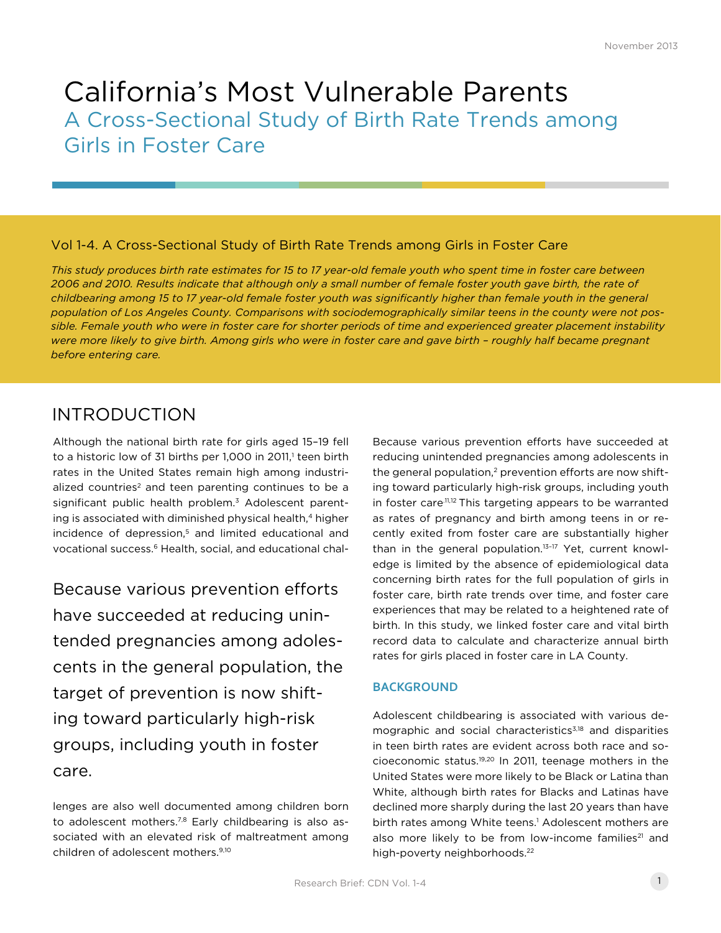# California's Most Vulnerable Parents A Cross-Sectional Study of Birth Rate Trends among Girls in Foster Care

### Vol 1-4. A Cross-Sectional Study of Birth Rate Trends among Girls in Foster Care

*This study produces birth rate estimates for 15 to 17 year-old female youth who spent time in foster care between 2006 and 2010. Results indicate that although only a small number of female foster youth gave birth, the rate of childbearing among 15 to 17 year-old female foster youth was significantly higher than female youth in the general population of Los Angeles County. Comparisons with sociodemographically similar teens in the county were not possible. Female youth who were in foster care for shorter periods of time and experienced greater placement instability were more likely to give birth. Among girls who were in foster care and gave birth – roughly half became pregnant before entering care.*

## INTRODUCTION

Although the national birth rate for girls aged 15–19 fell to a historic low of 31 births per 1,000 in 2011,<sup>1</sup> teen birth rates in the United States remain high among industrialized countries<sup>2</sup> and teen parenting continues to be a significant public health problem.<sup>3</sup> Adolescent parenting is associated with diminished physical health,<sup>4</sup> higher incidence of depression, $5$  and limited educational and vocational success.<sup>6</sup> Health, social, and educational chal-

Because various prevention efforts have succeeded at reducing unintended pregnancies among adolescents in the general population, the target of prevention is now shifting toward particularly high-risk groups, including youth in foster care.

lenges are also well documented among children born to adolescent mothers.<sup>7,8</sup> Early childbearing is also associated with an elevated risk of maltreatment among children of adolescent mothers.9,10

Because various prevention efforts have succeeded at reducing unintended pregnancies among adolescents in the general population, $2$  prevention efforts are now shifting toward particularly high-risk groups, including youth in foster care.11,12 This targeting appears to be warranted as rates of pregnancy and birth among teens in or recently exited from foster care are substantially higher than in the general population.<sup>13-17</sup> Yet, current knowledge is limited by the absence of epidemiological data concerning birth rates for the full population of girls in foster care, birth rate trends over time, and foster care experiences that may be related to a heightened rate of birth. In this study, we linked foster care and vital birth record data to calculate and characterize annual birth rates for girls placed in foster care in LA County.

#### **BACKGROUND**

Adolescent childbearing is associated with various demographic and social characteristics<sup>3,18</sup> and disparities in teen birth rates are evident across both race and socioeconomic status.19,20 In 2011, teenage mothers in the United States were more likely to be Black or Latina than White, although birth rates for Blacks and Latinas have declined more sharply during the last 20 years than have birth rates among White teens.<sup>1</sup> Adolescent mothers are also more likely to be from low-income families<sup>21</sup> and high-poverty neighborhoods.<sup>22</sup>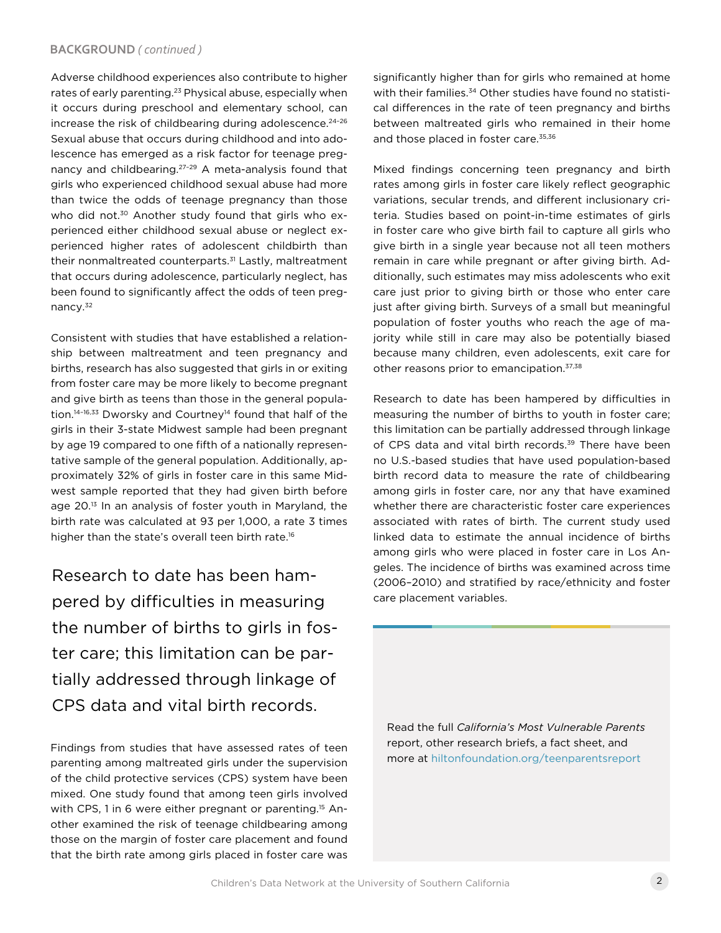#### **BACKGROUND** *( continued )*

Adverse childhood experiences also contribute to higher rates of early parenting.<sup>23</sup> Physical abuse, especially when it occurs during preschool and elementary school, can increase the risk of childbearing during adolescence.<sup>24-26</sup> Sexual abuse that occurs during childhood and into adolescence has emerged as a risk factor for teenage pregnancy and childbearing.27–29 A meta-analysis found that girls who experienced childhood sexual abuse had more than twice the odds of teenage pregnancy than those who did not.<sup>30</sup> Another study found that girls who experienced either childhood sexual abuse or neglect experienced higher rates of adolescent childbirth than their nonmaltreated counterparts.<sup>31</sup> Lastly, maltreatment that occurs during adolescence, particularly neglect, has been found to significantly affect the odds of teen pregnancy.32

Consistent with studies that have established a relationship between maltreatment and teen pregnancy and births, research has also suggested that girls in or exiting from foster care may be more likely to become pregnant and give birth as teens than those in the general population.<sup>14-16,33</sup> Dworsky and Courtney<sup>14</sup> found that half of the girls in their 3-state Midwest sample had been pregnant by age 19 compared to one fifth of a nationally representative sample of the general population. Additionally, approximately 32% of girls in foster care in this same Midwest sample reported that they had given birth before age 20.<sup>13</sup> In an analysis of foster youth in Maryland, the birth rate was calculated at 93 per 1,000, a rate 3 times higher than the state's overall teen birth rate.<sup>16</sup>

Research to date has been hampered by difficulties in measuring the number of births to girls in foster care; this limitation can be partially addressed through linkage of CPS data and vital birth records.

Findings from studies that have assessed rates of teen parenting among maltreated girls under the supervision of the child protective services (CPS) system have been mixed. One study found that among teen girls involved with CPS, 1 in 6 were either pregnant or parenting.<sup>15</sup> Another examined the risk of teenage childbearing among those on the margin of foster care placement and found that the birth rate among girls placed in foster care was

significantly higher than for girls who remained at home with their families.<sup>34</sup> Other studies have found no statistical differences in the rate of teen pregnancy and births between maltreated girls who remained in their home and those placed in foster care.<sup>35,36</sup>

Mixed findings concerning teen pregnancy and birth rates among girls in foster care likely reflect geographic variations, secular trends, and different inclusionary criteria. Studies based on point-in-time estimates of girls in foster care who give birth fail to capture all girls who give birth in a single year because not all teen mothers remain in care while pregnant or after giving birth. Additionally, such estimates may miss adolescents who exit care just prior to giving birth or those who enter care just after giving birth. Surveys of a small but meaningful population of foster youths who reach the age of majority while still in care may also be potentially biased because many children, even adolescents, exit care for other reasons prior to emancipation.37,38

Research to date has been hampered by difficulties in measuring the number of births to youth in foster care; this limitation can be partially addressed through linkage of CPS data and vital birth records.<sup>39</sup> There have been no U.S.-based studies that have used population-based birth record data to measure the rate of childbearing among girls in foster care, nor any that have examined whether there are characteristic foster care experiences associated with rates of birth. The current study used linked data to estimate the annual incidence of births among girls who were placed in foster care in Los Angeles. The incidence of births was examined across time (2006–2010) and stratified by race/ethnicity and foster care placement variables.

Read the full *California's Most Vulnerable Parents*  report, other research briefs, a fact sheet, and more at [hiltonfoundation.org/teenparentsreport](http://www.hiltonfoundation.org/teenparentsreport)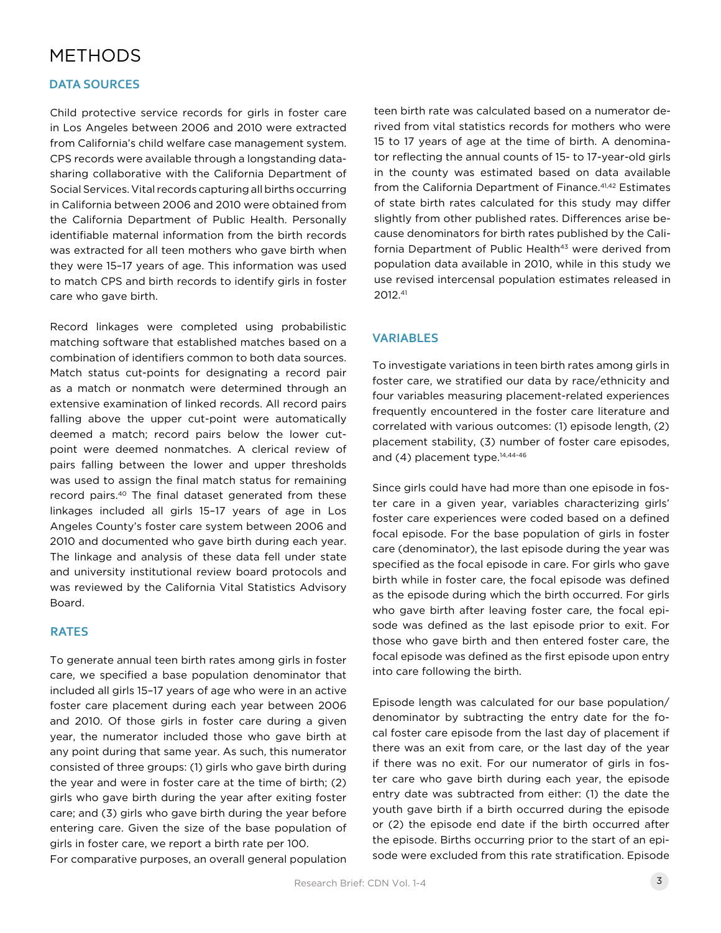## METHODS

#### **DATA SOURCES**

Child protective service records for girls in foster care in Los Angeles between 2006 and 2010 were extracted from California's child welfare case management system. CPS records were available through a longstanding datasharing collaborative with the California Department of Social Services. Vital records capturing all births occurring in California between 2006 and 2010 were obtained from the California Department of Public Health. Personally identifiable maternal information from the birth records was extracted for all teen mothers who gave birth when they were 15–17 years of age. This information was used to match CPS and birth records to identify girls in foster care who gave birth.

Record linkages were completed using probabilistic matching software that established matches based on a combination of identifiers common to both data sources. Match status cut-points for designating a record pair as a match or nonmatch were determined through an extensive examination of linked records. All record pairs falling above the upper cut-point were automatically deemed a match; record pairs below the lower cutpoint were deemed nonmatches. A clerical review of pairs falling between the lower and upper thresholds was used to assign the final match status for remaining record pairs.40 The final dataset generated from these linkages included all girls 15–17 years of age in Los Angeles County's foster care system between 2006 and 2010 and documented who gave birth during each year. The linkage and analysis of these data fell under state and university institutional review board protocols and was reviewed by the California Vital Statistics Advisory Board.

#### **RATES**

To generate annual teen birth rates among girls in foster care, we specified a base population denominator that included all girls 15–17 years of age who were in an active foster care placement during each year between 2006 and 2010. Of those girls in foster care during a given year, the numerator included those who gave birth at any point during that same year. As such, this numerator consisted of three groups: (1) girls who gave birth during the year and were in foster care at the time of birth; (2) girls who gave birth during the year after exiting foster care; and (3) girls who gave birth during the year before entering care. Given the size of the base population of girls in foster care, we report a birth rate per 100. For comparative purposes, an overall general population

teen birth rate was calculated based on a numerator derived from vital statistics records for mothers who were 15 to 17 years of age at the time of birth. A denominator reflecting the annual counts of 15- to 17-year-old girls in the county was estimated based on data available from the California Department of Finance.<sup>41,42</sup> Estimates of state birth rates calculated for this study may differ slightly from other published rates. Differences arise because denominators for birth rates published by the California Department of Public Health<sup>43</sup> were derived from population data available in 2010, while in this study we use revised intercensal population estimates released in 2012.41

#### **VARIABLES**

To investigate variations in teen birth rates among girls in foster care, we stratified our data by race/ethnicity and four variables measuring placement-related experiences frequently encountered in the foster care literature and correlated with various outcomes: (1) episode length, (2) placement stability, (3) number of foster care episodes, and  $(4)$  placement type.<sup>14,44-46</sup>

Since girls could have had more than one episode in foster care in a given year, variables characterizing girls' foster care experiences were coded based on a defined focal episode. For the base population of girls in foster care (denominator), the last episode during the year was specified as the focal episode in care. For girls who gave birth while in foster care, the focal episode was defined as the episode during which the birth occurred. For girls who gave birth after leaving foster care, the focal episode was defined as the last episode prior to exit. For those who gave birth and then entered foster care, the focal episode was defined as the first episode upon entry into care following the birth.

Episode length was calculated for our base population/ denominator by subtracting the entry date for the focal foster care episode from the last day of placement if there was an exit from care, or the last day of the year if there was no exit. For our numerator of girls in foster care who gave birth during each year, the episode entry date was subtracted from either: (1) the date the youth gave birth if a birth occurred during the episode or (2) the episode end date if the birth occurred after the episode. Births occurring prior to the start of an episode were excluded from this rate stratification. Episode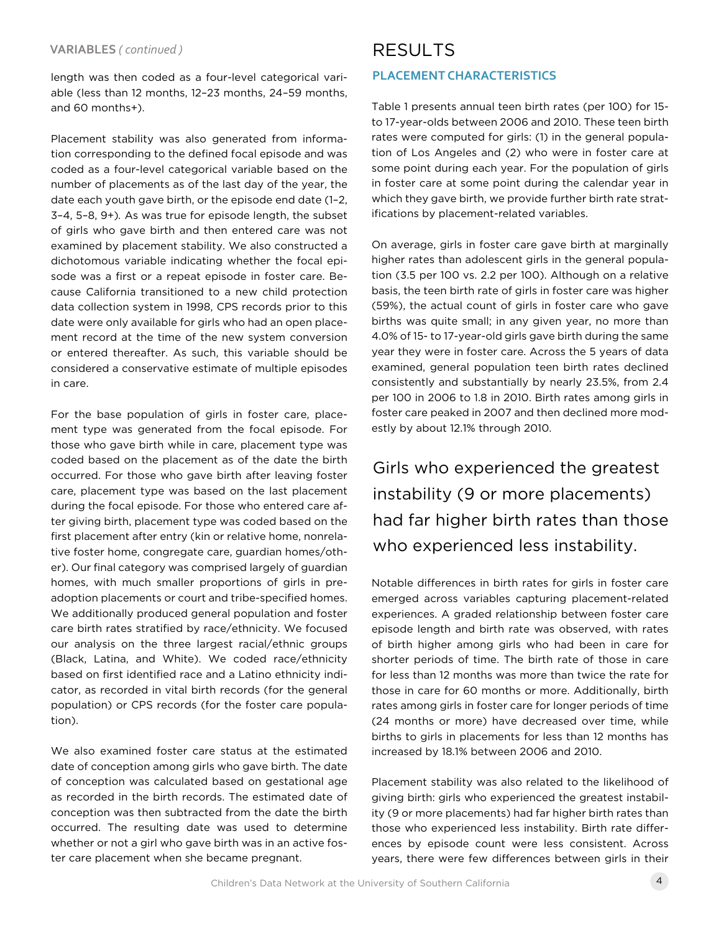length was then coded as a four-level categorical variable (less than 12 months, 12–23 months, 24–59 months, and 60 months+).

Placement stability was also generated from information corresponding to the defined focal episode and was coded as a four-level categorical variable based on the number of placements as of the last day of the year, the date each youth gave birth, or the episode end date (1–2, 3–4, 5–8, 9+)*.* As was true for episode length, the subset of girls who gave birth and then entered care was not examined by placement stability. We also constructed a dichotomous variable indicating whether the focal episode was a first or a repeat episode in foster care. Because California transitioned to a new child protection data collection system in 1998, CPS records prior to this date were only available for girls who had an open placement record at the time of the new system conversion or entered thereafter. As such, this variable should be considered a conservative estimate of multiple episodes in care.

For the base population of girls in foster care, placement type was generated from the focal episode. For those who gave birth while in care, placement type was coded based on the placement as of the date the birth occurred. For those who gave birth after leaving foster care, placement type was based on the last placement during the focal episode. For those who entered care after giving birth, placement type was coded based on the first placement after entry (kin or relative home, nonrelative foster home, congregate care, guardian homes/other). Our final category was comprised largely of guardian homes, with much smaller proportions of girls in preadoption placements or court and tribe-specified homes. We additionally produced general population and foster care birth rates stratified by race/ethnicity. We focused our analysis on the three largest racial/ethnic groups (Black, Latina, and White). We coded race/ethnicity based on first identified race and a Latino ethnicity indicator, as recorded in vital birth records (for the general population) or CPS records (for the foster care population).

We also examined foster care status at the estimated date of conception among girls who gave birth. The date of conception was calculated based on gestational age as recorded in the birth records. The estimated date of conception was then subtracted from the date the birth occurred. The resulting date was used to determine whether or not a girl who gave birth was in an active foster care placement when she became pregnant.

### **PLACEMENT CHARACTERISTICS**

Table 1 presents annual teen birth rates (per 100) for 15 to 17-year-olds between 2006 and 2010. These teen birth rates were computed for girls: (1) in the general population of Los Angeles and (2) who were in foster care at some point during each year. For the population of girls in foster care at some point during the calendar year in which they gave birth, we provide further birth rate stratifications by placement-related variables.

On average, girls in foster care gave birth at marginally higher rates than adolescent girls in the general population (3.5 per 100 vs. 2.2 per 100). Although on a relative basis, the teen birth rate of girls in foster care was higher (59%), the actual count of girls in foster care who gave births was quite small; in any given year, no more than 4.0% of 15- to 17-year-old girls gave birth during the same year they were in foster care. Across the 5 years of data examined, general population teen birth rates declined consistently and substantially by nearly 23.5%, from 2.4 per 100 in 2006 to 1.8 in 2010. Birth rates among girls in foster care peaked in 2007 and then declined more modestly by about 12.1% through 2010.

Girls who experienced the greatest instability (9 or more placements) had far higher birth rates than those who experienced less instability.

Notable differences in birth rates for girls in foster care emerged across variables capturing placement-related experiences. A graded relationship between foster care episode length and birth rate was observed, with rates of birth higher among girls who had been in care for shorter periods of time. The birth rate of those in care for less than 12 months was more than twice the rate for those in care for 60 months or more. Additionally, birth rates among girls in foster care for longer periods of time (24 months or more) have decreased over time, while births to girls in placements for less than 12 months has increased by 18.1% between 2006 and 2010.

Placement stability was also related to the likelihood of giving birth: girls who experienced the greatest instability (9 or more placements) had far higher birth rates than those who experienced less instability. Birth rate differences by episode count were less consistent. Across years, there were few differences between girls in their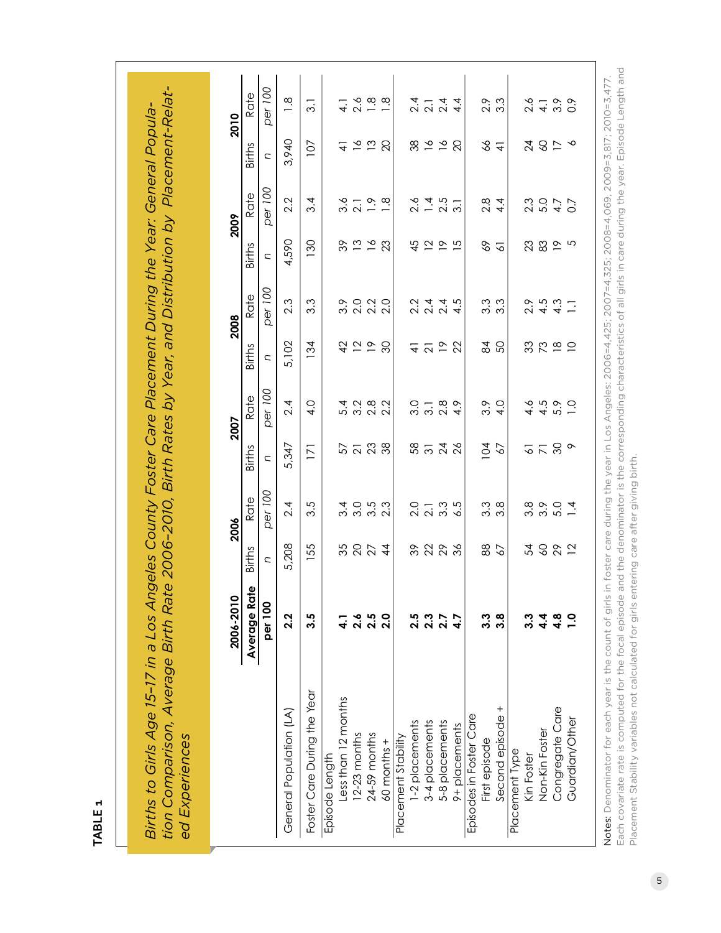| ı      |
|--------|
|        |
| ۰<br>v |
|        |
|        |

tion Comparison, Average Birth Rate 2006-2010, Birth Rates by Year, and Distribution by Placement-Relat*tion Comparison, Average Birth Rate 2006–2010, Birth Rates by Year, and Distribution by Placement-Relat-*Births to Girls Age 15-17 in a Los Angeles County Foster Care Placement During the Year: General Popula-*Births to Girls Age 15–17 in a Los Angeles County Foster Care Placement During the Year: General Popula*ed Experiences *ed Experiences*

|                                                    | 2006-2010        |                | 2006               |                                 | 2007                                |                                                          | 2008                                      |                    | 2009                            |                                                                                                                                                 | 2010                    |
|----------------------------------------------------|------------------|----------------|--------------------|---------------------------------|-------------------------------------|----------------------------------------------------------|-------------------------------------------|--------------------|---------------------------------|-------------------------------------------------------------------------------------------------------------------------------------------------|-------------------------|
|                                                    | Average Rate     | <b>Births</b>  | Rate               | <b>Births</b>                   | Rate                                | <b>Births</b>                                            | Rate                                      | <b>Births</b>      | Rate                            | <b>Births</b>                                                                                                                                   | Rate                    |
|                                                    | per 100          | $\overline{C}$ | per 100            | $\overline{C}$                  | per 100                             | $\overline{\phantom{a}}$                                 | per 100                                   | C                  | per 100                         | U                                                                                                                                               | per 100                 |
| General Population (LA)                            | 2.2              | 5,208          | 2.4                | 5,347                           | 2.4                                 | 5,102                                                    | 2.3                                       | 4,590              | 2.2                             | 3,940                                                                                                                                           | $\frac{8}{1}$           |
| Foster Care During the Year                        | ა.               | 55             | 3.5                | $\overline{\Sigma}$             | 4.0                                 | 134                                                      | 3.3                                       | 130                | 3.4                             | 107                                                                                                                                             | $\overline{3}$ .        |
| Episode Length                                     |                  |                |                    |                                 |                                     |                                                          |                                           |                    |                                 |                                                                                                                                                 |                         |
| Less than 12 months                                |                  |                |                    |                                 |                                     |                                                          |                                           |                    |                                 |                                                                                                                                                 |                         |
| 12-23 months                                       |                  | 3824           | d o n w<br>4 0 n w | 5538                            | 4 0 1 0 0<br>4 0 1 0 1<br>4 0 1 0 1 | 2250                                                     | 0. 0. 0. 0.<br>0. 0. 0. 0.<br>0. 0. 0. 0. | ೫ ೧೨ ನ             | $\frac{36}{21} - \frac{36}{21}$ | $\frac{4}{5}$ $\frac{5}{5}$                                                                                                                     | 2.6                     |
| $24-59$ months                                     |                  |                |                    |                                 |                                     |                                                          |                                           |                    |                                 |                                                                                                                                                 |                         |
| $60$ months $+$                                    |                  |                |                    |                                 |                                     |                                                          |                                           |                    |                                 | $\Omega$                                                                                                                                        | $\frac{\infty}{\infty}$ |
| Placement Stability                                |                  |                |                    |                                 |                                     |                                                          |                                           |                    |                                 |                                                                                                                                                 |                         |
|                                                    | 2.5              |                |                    |                                 |                                     |                                                          |                                           |                    |                                 |                                                                                                                                                 |                         |
|                                                    | 2.7<br>2.7       |                |                    |                                 |                                     |                                                          |                                           | 492                |                                 |                                                                                                                                                 |                         |
| 1-2 placements<br>3-4 placements<br>5-8 placements |                  | 8888           | 0 – 9 9<br>2 9 9 9 | 5<br>5<br>5<br>2<br>2<br>2<br>2 | 0 – 8 0<br>0 – 8 0<br>0 – 8 0       | $\frac{4}{2}$ $\frac{5}{2}$ $\frac{8}{2}$                | 2<br>2 4 4 5<br>2 4 7 9                   |                    | 8 4 5<br>2 4 5<br>2 5 7         | $280 - 28$                                                                                                                                      | $24 - 4$<br>$24 - 4$    |
| 9+ placements                                      |                  |                |                    |                                 |                                     |                                                          |                                           | $\overline{5}$     |                                 | $\overline{Q}$                                                                                                                                  | $\dot{4}$               |
| Episodes in Foster Care                            |                  |                |                    |                                 |                                     |                                                          |                                           |                    |                                 |                                                                                                                                                 |                         |
| First episode                                      | ઝે               | 88             | က<br>ကိ ထိ         | $\overline{6}$                  | $3.0$<br>4.0                        | $rac{5}{4}$                                              | က် ကို<br>ကိ                              | Ş9                 | 00 4<br>२१ म                    | $rac{4}{4}$                                                                                                                                     | 2.3<br>3.3              |
| Second episode +                                   | <u>ထိ</u>        | $\delta$       |                    | 29                              |                                     |                                                          |                                           | $\overline{\circ}$ |                                 |                                                                                                                                                 |                         |
| Placement Type                                     |                  |                |                    |                                 |                                     |                                                          |                                           |                    |                                 |                                                                                                                                                 |                         |
| Kin Foster                                         |                  |                |                    | 5                               |                                     |                                                          |                                           |                    |                                 |                                                                                                                                                 |                         |
| Non-Kin Foster                                     | $4\overline{4}$  |                |                    |                                 |                                     |                                                          |                                           |                    |                                 |                                                                                                                                                 |                         |
| Congregate Care                                    | $4.\overline{8}$ | おるめに           |                    | $5.8^{\circ}$                   | $440 -$<br>$640 -$                  | $\begin{array}{c}\n\circ \\ \circ \\ \circ\n\end{array}$ | $24.7 - 7.7$<br>$24.7 - 7.7$              | $23.89$ $-5$       |                                 | $\begin{array}{c}\n\mathcal{A} & \mathcal{O} & \mathcal{D} & \mathcal{A} \\ \mathcal{A} & \mathcal{O} & \mathcal{D} & \mathcal{A}\n\end{array}$ | $2470$<br>$2470$        |
| Guardian/Other                                     |                  |                |                    |                                 |                                     |                                                          |                                           |                    |                                 |                                                                                                                                                 |                         |

Each covariate rate is computed for the focal episode and the denominator is the corresponding characteristics of all girls in care during the year. Episode Length and Each covariate rate is computed for the focal episode and the denominator is the corresponding characteristics of all girls in care during the year. Episode Length and Notes: Denominator for each year is the count of girls in foster care during the year in Los Angeles: 2006=4,425; 2007=4,325; 2008=4,069, 2009=3,817; 2010=3,477. Notes: Denominator for each year is the count of girls in foster care during the year in Los Angeles: 2006=4,425; 2007=4,325; 2008=4,069, 2009=3,817; 2010=3,477. Placement Stability variables not calculated for girls entering care after giving birth. Placement Stability variables not calculated for girls entering care after giving birth.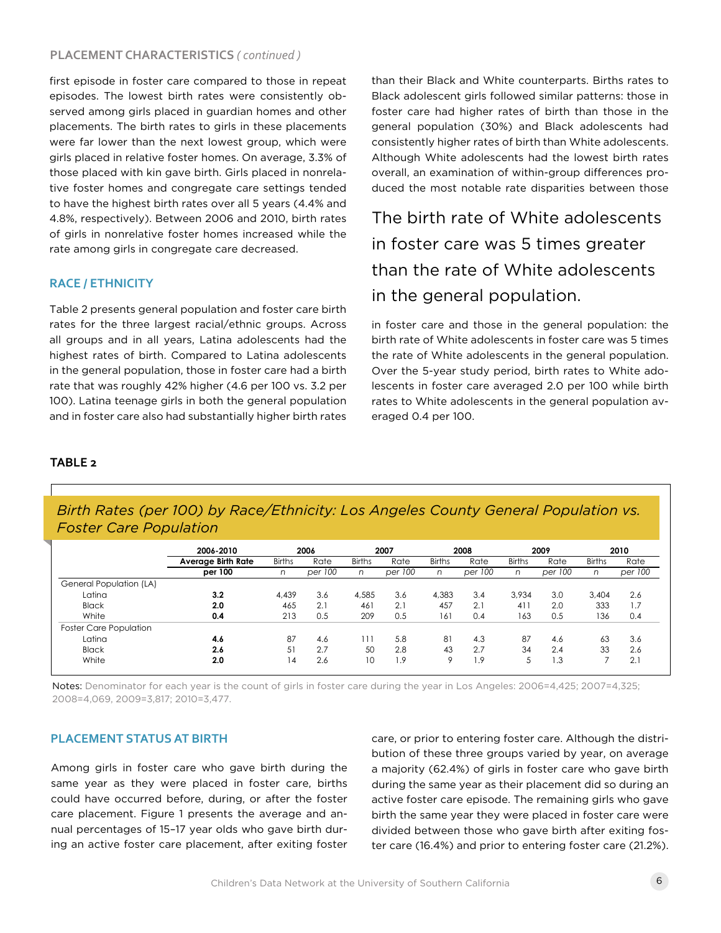#### **PLACEMENT CHARACTERISTICS** *( continued )*

first episode in foster care compared to those in repeat episodes. The lowest birth rates were consistently observed among girls placed in guardian homes and other placements. The birth rates to girls in these placements were far lower than the next lowest group, which were girls placed in relative foster homes. On average, 3.3% of those placed with kin gave birth. Girls placed in nonrelative foster homes and congregate care settings tended to have the highest birth rates over all 5 years (4.4% and 4.8%, respectively). Between 2006 and 2010, birth rates of girls in nonrelative foster homes increased while the rate among girls in congregate care decreased.

#### **RACE / ETHNICITY**

Table 2 presents general population and foster care birth rates for the three largest racial/ethnic groups. Across all groups and in all years, Latina adolescents had the highest rates of birth. Compared to Latina adolescents in the general population, those in foster care had a birth rate that was roughly 42% higher (4.6 per 100 vs. 3.2 per 100). Latina teenage girls in both the general population and in foster care also had substantially higher birth rates

than their Black and White counterparts. Births rates to Black adolescent girls followed similar patterns: those in foster care had higher rates of birth than those in the general population (30%) and Black adolescents had consistently higher rates of birth than White adolescents. Although White adolescents had the lowest birth rates overall, an examination of within-group differences produced the most notable rate disparities between those

The birth rate of White adolescents in foster care was 5 times greater than the rate of White adolescents in the general population.

in foster care and those in the general population: the birth rate of White adolescents in foster care was 5 times the rate of White adolescents in the general population. Over the 5-year study period, birth rates to White adolescents in foster care averaged 2.0 per 100 while birth rates to White adolescents in the general population averaged 0.4 per 100.

#### **TABLE 2**

*Birth Rates (per 100) by Race/Ethnicity: Los Angeles County General Population vs. Foster Care Population*

|                               | 2006-2010                 | 2006          |         | 2007          |         | 2008          |         | 2009          |         | 2010          |         |
|-------------------------------|---------------------------|---------------|---------|---------------|---------|---------------|---------|---------------|---------|---------------|---------|
|                               | <b>Average Birth Rate</b> | <b>Births</b> | Rate    | <b>Births</b> | Rate    | <b>Births</b> | Rate    | <b>Births</b> | Rate    | <b>Births</b> | Rate    |
|                               | per 100                   | n             | per 100 | n             | per 100 | n             | per 100 | n             | per 100 | n             | per 100 |
| General Population (LA)       |                           |               |         |               |         |               |         |               |         |               |         |
| Latina                        | 3.2                       | 4.439         | 3.6     | 4.585         | 3.6     | 4.383         | 3.4     | 3.934         | 3.0     | 3.404         | 2.6     |
| <b>Black</b>                  | 2.0                       | 465           | 2.1     | 461           | 2.1     | 457           | 2.1     | 411           | 2.0     | 333           | . .7    |
| White                         | 0.4                       | 213           | 0.5     | 209           | 0.5     | 161           | 0.4     | 163           | 0.5     | 136           | 0.4     |
| <b>Foster Care Population</b> |                           |               |         |               |         |               |         |               |         |               |         |
| Latina                        | 4.6                       | 87            | 4.6     | 111           | 5.8     | 81            | 4.3     | 87            | 4.6     | 63            | 3.6     |
| <b>Black</b>                  | 2.6                       | 51            | 2.7     | 50            | 2.8     | 43            | 2.7     | 34            | 2.4     | 33            | 2.6     |
| White                         | 2.0                       | 14            | 2.6     | 10            | 1.9     | 9             | . .9    | 5             | 1.3     |               | 2.1     |

Notes: Denominator for each year is the count of girls in foster care during the year in Los Angeles: 2006=4,425; 2007=4,325; 2008=4,069, 2009=3,817; 2010=3,477.

#### **PLACEMENT STATUS AT BIRTH**

Among girls in foster care who gave birth during the same year as they were placed in foster care, births could have occurred before, during, or after the foster care placement. Figure 1 presents the average and annual percentages of 15–17 year olds who gave birth during an active foster care placement, after exiting foster care, or prior to entering foster care. Although the distribution of these three groups varied by year, on average a majority (62.4%) of girls in foster care who gave birth during the same year as their placement did so during an active foster care episode. The remaining girls who gave birth the same year they were placed in foster care were divided between those who gave birth after exiting foster care (16.4%) and prior to entering foster care (21.2%).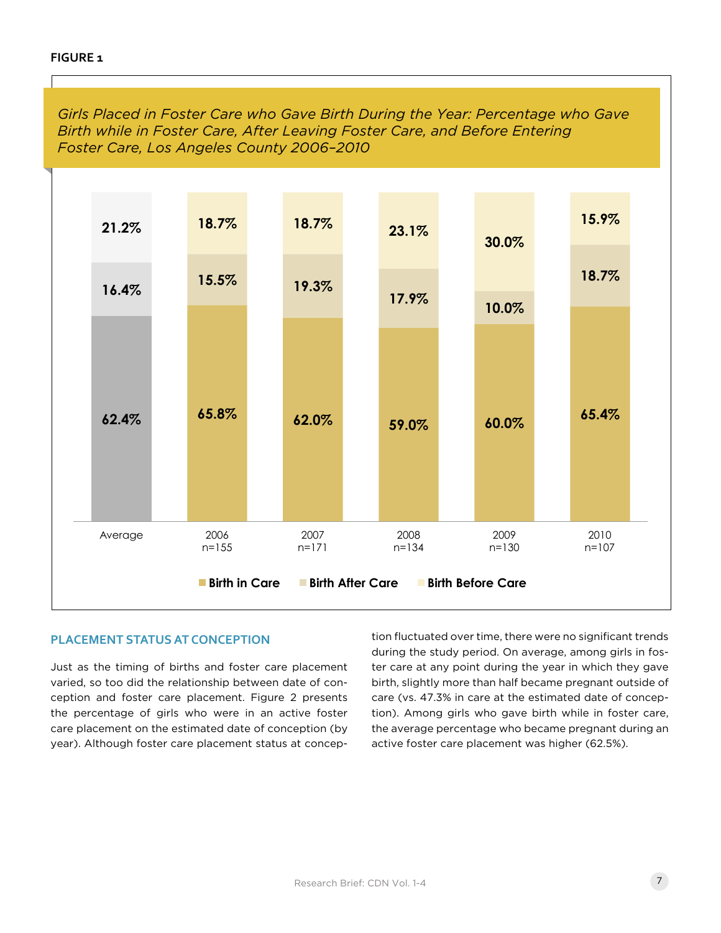*Girls Placed in Foster Care who Gave Birth During the Year: Percentage who Gave Birth while in Foster Care, After Leaving Foster Care, and Before Entering Foster Care, Los Angeles County 2006–2010*



#### **PLACEMENT STATUS AT CONCEPTION**

Just as the timing of births and foster care placement varied, so too did the relationship between date of conception and foster care placement. Figure 2 presents the percentage of girls who were in an active foster care placement on the estimated date of conception (by year). Although foster care placement status at concep-

tion fluctuated over time, there were no significant trends during the study period. On average, among girls in foster care at any point during the year in which they gave birth, slightly more than half became pregnant outside of care (vs. 47.3% in care at the estimated date of conception). Among girls who gave birth while in foster care, the average percentage who became pregnant during an active foster care placement was higher (62.5%).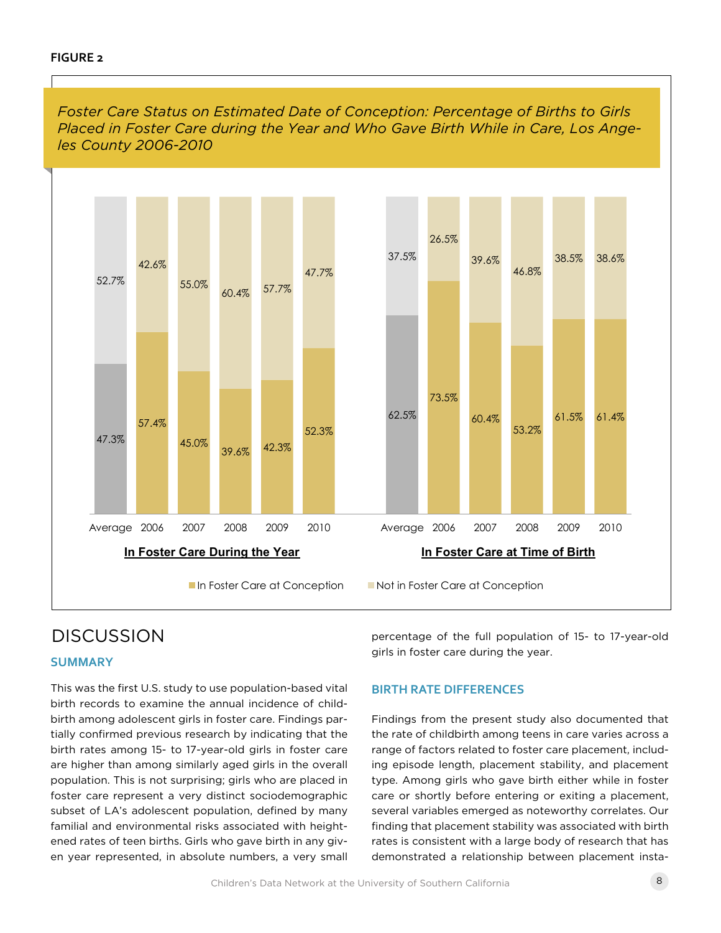

## **DISCUSSION**

#### **SUMMARY**

This was the first U.S. study to use population-based vital birth records to examine the annual incidence of childbirth among adolescent girls in foster care. Findings partially confirmed previous research by indicating that the birth rates among 15- to 17-year-old girls in foster care are higher than among similarly aged girls in the overall population. This is not surprising; girls who are placed in foster care represent a very distinct sociodemographic subset of LA's adolescent population, defined by many familial and environmental risks associated with heightened rates of teen births. Girls who gave birth in any given year represented, in absolute numbers, a very small percentage of the full population of 15- to 17-year-old girls in foster care during the year.

### **BIRTH RATE DIFFERENCES**

Findings from the present study also documented that the rate of childbirth among teens in care varies across a range of factors related to foster care placement, including episode length, placement stability, and placement type. Among girls who gave birth either while in foster care or shortly before entering or exiting a placement, several variables emerged as noteworthy correlates. Our finding that placement stability was associated with birth rates is consistent with a large body of research that has demonstrated a relationship between placement insta-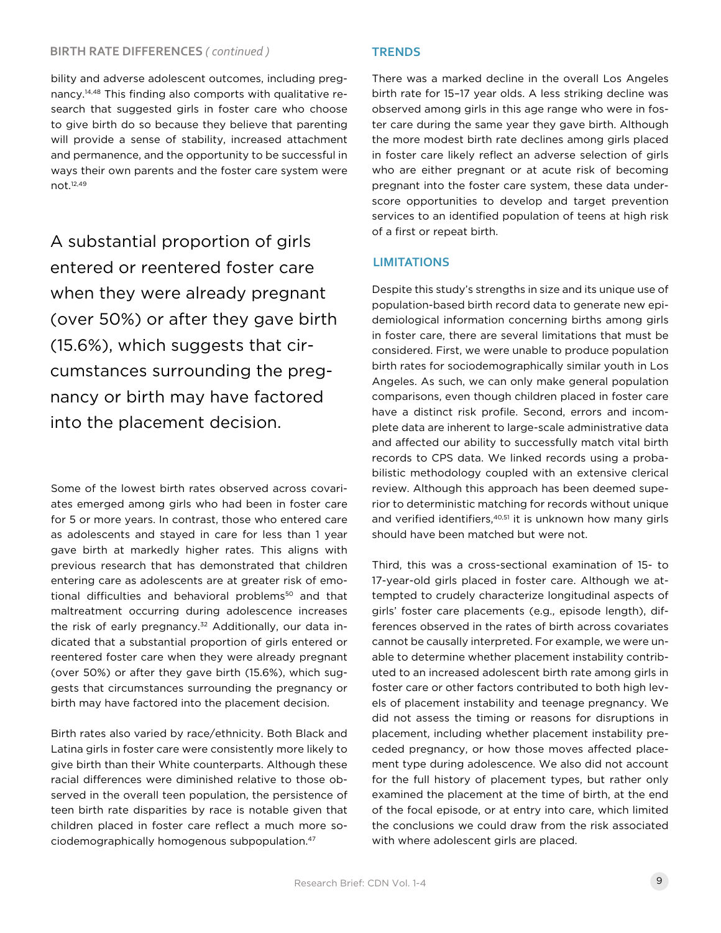#### **BIRTH RATE DIFFERENCES** *( continued )*

bility and adverse adolescent outcomes, including pregnancy.14,48 This finding also comports with qualitative research that suggested girls in foster care who choose to give birth do so because they believe that parenting will provide a sense of stability, increased attachment and permanence, and the opportunity to be successful in ways their own parents and the foster care system were not.12,49

A substantial proportion of girls entered or reentered foster care when they were already pregnant (over 50%) or after they gave birth (15.6%), which suggests that circumstances surrounding the pregnancy or birth may have factored into the placement decision.

Some of the lowest birth rates observed across covariates emerged among girls who had been in foster care for 5 or more years. In contrast, those who entered care as adolescents and stayed in care for less than 1 year gave birth at markedly higher rates. This aligns with previous research that has demonstrated that children entering care as adolescents are at greater risk of emotional difficulties and behavioral problems<sup>50</sup> and that maltreatment occurring during adolescence increases the risk of early pregnancy.<sup>32</sup> Additionally, our data indicated that a substantial proportion of girls entered or reentered foster care when they were already pregnant (over 50%) or after they gave birth (15.6%), which suggests that circumstances surrounding the pregnancy or birth may have factored into the placement decision.

Birth rates also varied by race/ethnicity. Both Black and Latina girls in foster care were consistently more likely to give birth than their White counterparts. Although these racial differences were diminished relative to those observed in the overall teen population, the persistence of teen birth rate disparities by race is notable given that children placed in foster care reflect a much more sociodemographically homogenous subpopulation.47

#### **TRENDS**

There was a marked decline in the overall Los Angeles birth rate for 15–17 year olds. A less striking decline was observed among girls in this age range who were in foster care during the same year they gave birth. Although the more modest birth rate declines among girls placed in foster care likely reflect an adverse selection of girls who are either pregnant or at acute risk of becoming pregnant into the foster care system, these data underscore opportunities to develop and target prevention services to an identified population of teens at high risk of a first or repeat birth.

#### **LIMITATIONS**

Despite this study's strengths in size and its unique use of population-based birth record data to generate new epidemiological information concerning births among girls in foster care, there are several limitations that must be considered. First, we were unable to produce population birth rates for sociodemographically similar youth in Los Angeles. As such, we can only make general population comparisons, even though children placed in foster care have a distinct risk profile. Second, errors and incomplete data are inherent to large-scale administrative data and affected our ability to successfully match vital birth records to CPS data. We linked records using a probabilistic methodology coupled with an extensive clerical review. Although this approach has been deemed superior to deterministic matching for records without unique and verified identifiers,<sup>40,51</sup> it is unknown how many girls should have been matched but were not.

Third, this was a cross-sectional examination of 15- to 17-year-old girls placed in foster care. Although we attempted to crudely characterize longitudinal aspects of girls' foster care placements (e.g., episode length), differences observed in the rates of birth across covariates cannot be causally interpreted. For example, we were unable to determine whether placement instability contributed to an increased adolescent birth rate among girls in foster care or other factors contributed to both high levels of placement instability and teenage pregnancy. We did not assess the timing or reasons for disruptions in placement, including whether placement instability preceded pregnancy, or how those moves affected placement type during adolescence. We also did not account for the full history of placement types, but rather only examined the placement at the time of birth, at the end of the focal episode, or at entry into care, which limited the conclusions we could draw from the risk associated with where adolescent girls are placed.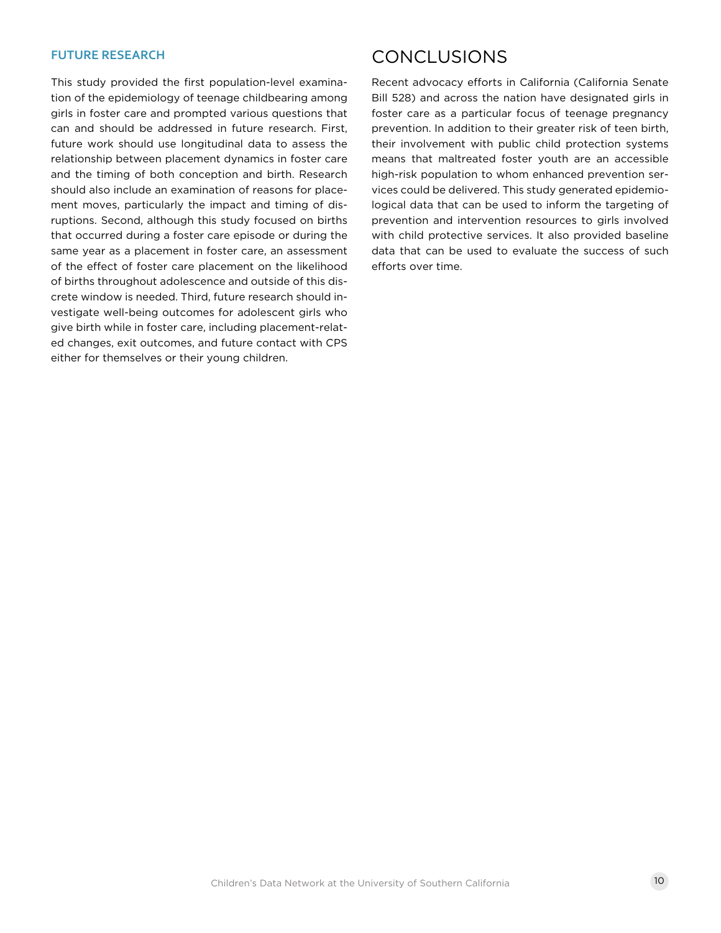This study provided the first population-level examination of the epidemiology of teenage childbearing among girls in foster care and prompted various questions that can and should be addressed in future research. First, future work should use longitudinal data to assess the relationship between placement dynamics in foster care and the timing of both conception and birth. Research should also include an examination of reasons for placement moves, particularly the impact and timing of disruptions. Second, although this study focused on births that occurred during a foster care episode or during the same year as a placement in foster care, an assessment of the effect of foster care placement on the likelihood of births throughout adolescence and outside of this discrete window is needed. Third, future research should investigate well-being outcomes for adolescent girls who give birth while in foster care, including placement-related changes, exit outcomes, and future contact with CPS either for themselves or their young children.

## FUTURE RESEARCH CONCLUSIONS

Recent advocacy efforts in California (California Senate Bill 528) and across the nation have designated girls in foster care as a particular focus of teenage pregnancy prevention. In addition to their greater risk of teen birth, their involvement with public child protection systems means that maltreated foster youth are an accessible high-risk population to whom enhanced prevention services could be delivered. This study generated epidemiological data that can be used to inform the targeting of prevention and intervention resources to girls involved with child protective services. It also provided baseline data that can be used to evaluate the success of such efforts over time.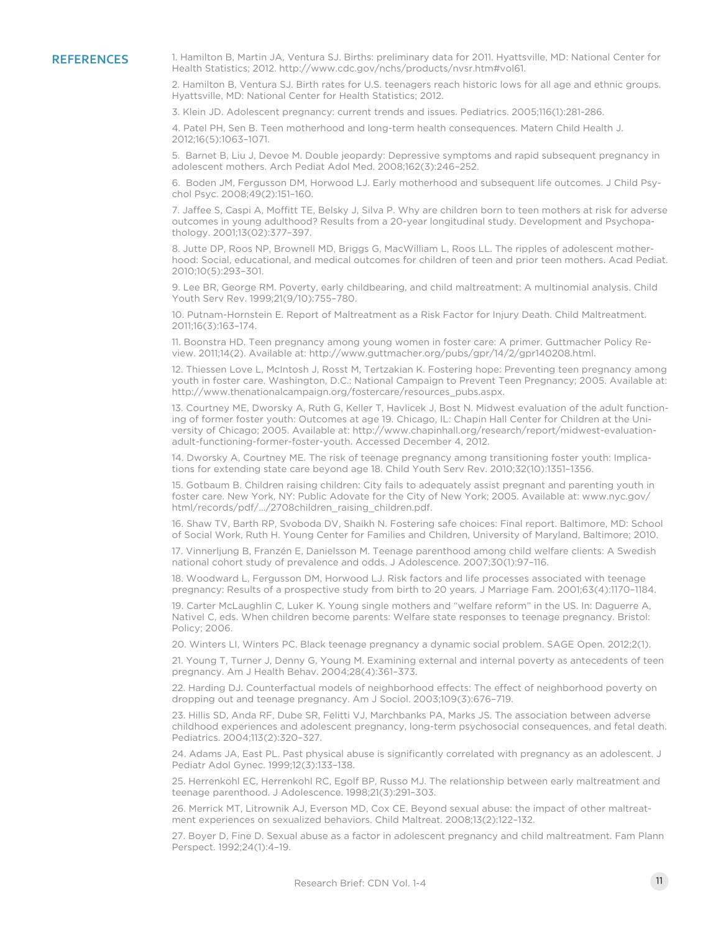REFERENCES 1. Hamilton B, Martin JA, Ventura SJ. Births: preliminary data for 2011. Hyattsville, MD: National Center for Health Statistics; 2012. http://www.cdc.gov/nchs/products/nvsr.htm#vol61.

> 2. Hamilton B, Ventura SJ. Birth rates for U.S. teenagers reach historic lows for all age and ethnic groups. Hyattsville, MD: National Center for Health Statistics; 2012.

3. Klein JD. Adolescent pregnancy: current trends and issues. Pediatrics. 2005;116(1):281-286.

4. Patel PH, Sen B. Teen motherhood and long-term health consequences. Matern Child Health J. 2012;16(5):1063–1071.

5. Barnet B, Liu J, Devoe M. Double jeopardy: Depressive symptoms and rapid subsequent pregnancy in adolescent mothers. Arch Pediat Adol Med. 2008;162(3):246–252.

6. Boden JM, Fergusson DM, Horwood LJ. Early motherhood and subsequent life outcomes. J Child Psychol Psyc. 2008;49(2):151–160.

7. Jaffee S, Caspi A, Moffitt TE, Belsky J, Silva P. Why are children born to teen mothers at risk for adverse outcomes in young adulthood? Results from a 20-year longitudinal study. Development and Psychopathology. 2001;13(02):377–397.

8. Jutte DP, Roos NP, Brownell MD, Briggs G, MacWilliam L, Roos LL. The ripples of adolescent motherhood: Social, educational, and medical outcomes for children of teen and prior teen mothers. Acad Pediat. 2010;10(5):293–301.

9. Lee BR, George RM. Poverty, early childbearing, and child maltreatment: A multinomial analysis. Child Youth Serv Rev. 1999;21(9/10):755–780.

10. Putnam-Hornstein E. Report of Maltreatment as a Risk Factor for Injury Death. Child Maltreatment. 2011;16(3):163–174.

11. Boonstra HD. Teen pregnancy among young women in foster care: A primer. Guttmacher Policy Review. 2011;14(2). Available at: http://www.guttmacher.org/pubs/gpr/14/2/gpr140208.html.

12. Thiessen Love L, McIntosh J, Rosst M, Tertzakian K. Fostering hope: Preventing teen pregnancy among youth in foster care. Washington, D.C.: National Campaign to Prevent Teen Pregnancy; 2005. Available at: http://www.thenationalcampaign.org/fostercare/resources\_pubs.aspx.

13. Courtney ME, Dworsky A, Ruth G, Keller T, Havlicek J, Bost N. Midwest evaluation of the adult functioning of former foster youth: Outcomes at age 19. Chicago, IL: Chapin Hall Center for Children at the University of Chicago; 2005. Available at: http://www.chapinhall.org/research/report/midwest-evaluationadult-functioning-former-foster-youth. Accessed December 4, 2012.

14. Dworsky A, Courtney ME. The risk of teenage pregnancy among transitioning foster youth: Implications for extending state care beyond age 18. Child Youth Serv Rev. 2010;32(10):1351–1356.

15. Gotbaum B. Children raising children: City fails to adequately assist pregnant and parenting youth in foster care. New York, NY: Public Adovate for the City of New York; 2005. Available at: www.nyc.gov/ html/records/pdf/.../2708children\_raising\_children.pdf.

16. Shaw TV, Barth RP, Svoboda DV, Shaikh N. Fostering safe choices: Final report. Baltimore, MD: School of Social Work, Ruth H. Young Center for Families and Children, University of Maryland, Baltimore; 2010.

17. Vinnerljung B, Franzén E, Danielsson M. Teenage parenthood among child welfare clients: A Swedish national cohort study of prevalence and odds. J Adolescence. 2007;30(1):97–116.

18. Woodward L, Fergusson DM, Horwood LJ. Risk factors and life processes associated with teenage pregnancy: Results of a prospective study from birth to 20 years. J Marriage Fam. 2001;63(4):1170–1184.

19. Carter McLaughlin C, Luker K. Young single mothers and "welfare reform" in the US. In: Daguerre A, Nativel C, eds. When children become parents: Welfare state responses to teenage pregnancy. Bristol: Policy; 2006.

20. Winters LI, Winters PC. Black teenage pregnancy a dynamic social problem. SAGE Open. 2012;2(1).

21. Young T, Turner J, Denny G, Young M. Examining external and internal poverty as antecedents of teen pregnancy. Am J Health Behav. 2004;28(4):361–373.

22. Harding DJ. Counterfactual models of neighborhood effects: The effect of neighborhood poverty on dropping out and teenage pregnancy. Am J Sociol. 2003;109(3):676–719.

23. Hillis SD, Anda RF, Dube SR, Felitti VJ, Marchbanks PA, Marks JS. The association between adverse childhood experiences and adolescent pregnancy, long-term psychosocial consequences, and fetal death. Pediatrics. 2004;113(2):320–327.

24. Adams JA, East PL. Past physical abuse is significantly correlated with pregnancy as an adolescent. J Pediatr Adol Gynec. 1999;12(3):133–138.

25. Herrenkohl EC, Herrenkohl RC, Egolf BP, Russo MJ. The relationship between early maltreatment and teenage parenthood. J Adolescence. 1998;21(3):291–303.

26. Merrick MT, Litrownik AJ, Everson MD, Cox CE. Beyond sexual abuse: the impact of other maltreatment experiences on sexualized behaviors. Child Maltreat. 2008;13(2):122–132.

27. Boyer D, Fine D. Sexual abuse as a factor in adolescent pregnancy and child maltreatment. Fam Plann Perspect. 1992;24(1):4–19.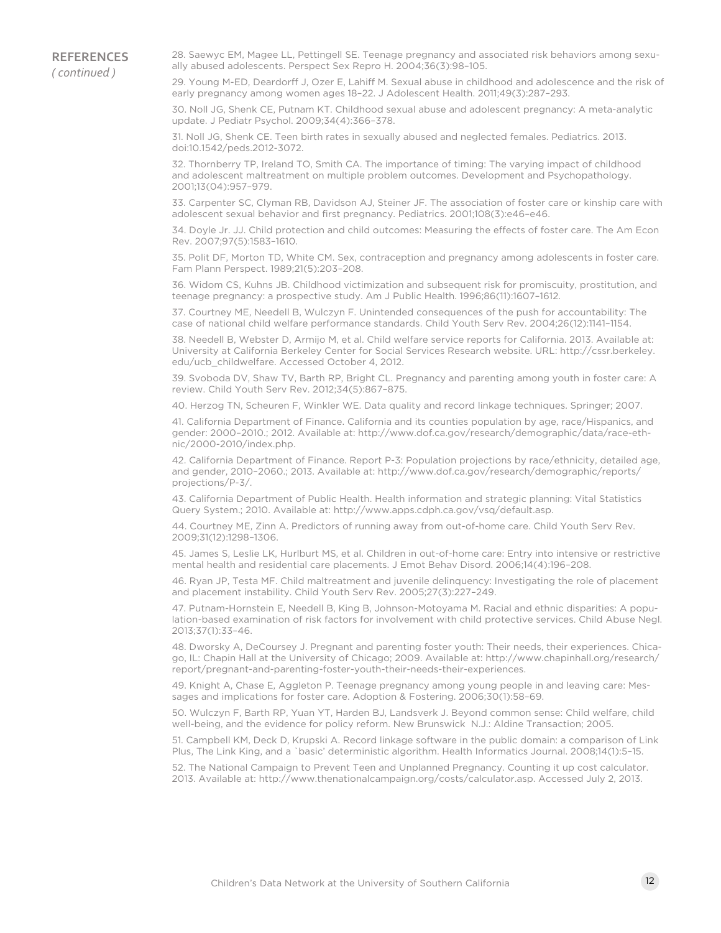**REFERENCES** *( continued )*

28. Saewyc EM, Magee LL, Pettingell SE. Teenage pregnancy and associated risk behaviors among sexually abused adolescents. Perspect Sex Repro H. 2004;36(3):98–105.

29. Young M-ED, Deardorff J, Ozer E, Lahiff M. Sexual abuse in childhood and adolescence and the risk of early pregnancy among women ages 18–22. J Adolescent Health. 2011;49(3):287–293.

30. Noll JG, Shenk CE, Putnam KT. Childhood sexual abuse and adolescent pregnancy: A meta-analytic update. J Pediatr Psychol. 2009;34(4):366–378.

31. Noll JG, Shenk CE. Teen birth rates in sexually abused and neglected females. Pediatrics. 2013. doi:10.1542/peds.2012-3072.

32. Thornberry TP, Ireland TO, Smith CA. The importance of timing: The varying impact of childhood and adolescent maltreatment on multiple problem outcomes. Development and Psychopathology. 2001;13(04):957–979.

33. Carpenter SC, Clyman RB, Davidson AJ, Steiner JF. The association of foster care or kinship care with adolescent sexual behavior and first pregnancy. Pediatrics. 2001;108(3):e46–e46.

34. Doyle Jr. JJ. Child protection and child outcomes: Measuring the effects of foster care. The Am Econ Rev. 2007;97(5):1583–1610.

35. Polit DF, Morton TD, White CM. Sex, contraception and pregnancy among adolescents in foster care. Fam Plann Perspect. 1989;21(5):203–208.

36. Widom CS, Kuhns JB. Childhood victimization and subsequent risk for promiscuity, prostitution, and teenage pregnancy: a prospective study. Am J Public Health. 1996;86(11):1607–1612.

37. Courtney ME, Needell B, Wulczyn F. Unintended consequences of the push for accountability: The case of national child welfare performance standards. Child Youth Serv Rev. 2004;26(12):1141–1154.

38. Needell B, Webster D, Armijo M, et al. Child welfare service reports for California. 2013. Available at: University at California Berkeley Center for Social Services Research website. URL: http://cssr.berkeley. edu/ucb\_childwelfare. Accessed October 4, 2012.

39. Svoboda DV, Shaw TV, Barth RP, Bright CL. Pregnancy and parenting among youth in foster care: A review. Child Youth Serv Rev. 2012;34(5):867–875.

40. Herzog TN, Scheuren F, Winkler WE. Data quality and record linkage techniques. Springer; 2007.

41. California Department of Finance. California and its counties population by age, race/Hispanics, and gender: 2000–2010.; 2012. Available at: http://www.dof.ca.gov/research/demographic/data/race-ethnic/2000-2010/index.php.

42. California Department of Finance. Report P-3: Population projections by race/ethnicity, detailed age, and gender, 2010–2060.; 2013. Available at: http://www.dof.ca.gov/research/demographic/reports/ projections/P-3/.

43. California Department of Public Health. Health information and strategic planning: Vital Statistics Query System.; 2010. Available at: http://www.apps.cdph.ca.gov/vsq/default.asp.

44. Courtney ME, Zinn A. Predictors of running away from out-of-home care. Child Youth Serv Rev. 2009;31(12):1298–1306.

45. James S, Leslie LK, Hurlburt MS, et al. Children in out-of-home care: Entry into intensive or restrictive mental health and residential care placements. J Emot Behav Disord. 2006;14(4):196–208.

46. Ryan JP, Testa MF. Child maltreatment and juvenile delinquency: Investigating the role of placement and placement instability. Child Youth Serv Rev. 2005;27(3):227–249.

47. Putnam-Hornstein E, Needell B, King B, Johnson-Motoyama M. Racial and ethnic disparities: A population-based examination of risk factors for involvement with child protective services. Child Abuse Negl. 2013;37(1):33–46.

48. Dworsky A, DeCoursey J. Pregnant and parenting foster youth: Their needs, their experiences. Chicago, IL: Chapin Hall at the University of Chicago; 2009. Available at: http://www.chapinhall.org/research/ report/pregnant-and-parenting-foster-youth-their-needs-their-experiences.

49. Knight A, Chase E, Aggleton P. Teenage pregnancy among young people in and leaving care: Messages and implications for foster care. Adoption & Fostering. 2006;30(1):58–69.

50. Wulczyn F, Barth RP, Yuan YT, Harden BJ, Landsverk J. Beyond common sense: Child welfare, child well-being, and the evidence for policy reform. New Brunswick N.J.: Aldine Transaction; 2005.

51. Campbell KM, Deck D, Krupski A. Record linkage software in the public domain: a comparison of Link Plus, The Link King, and a `basic' deterministic algorithm. Health Informatics Journal. 2008;14(1):5–15.

52. The National Campaign to Prevent Teen and Unplanned Pregnancy. Counting it up cost calculator. 2013. Available at: http://www.thenationalcampaign.org/costs/calculator.asp. Accessed July 2, 2013.